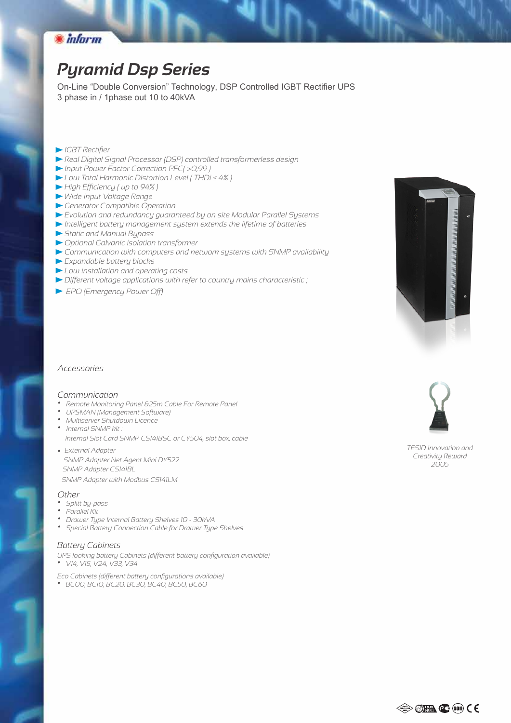

# *Pyramid Dsp Series*

On-Line "Double Conversion" Technology, DSP Controlled IGBT Rectifier UPS 3 phase in / 1phase out 10 to 40kVA

- *IGBT Rectifier*
- *Real Digital Signal Processor (DSP) controlled transformerless design*
- *Input Power Factor Correction PFC( >0,99 )*
- *Low Total Harmonic Distortion Level ( THDi ≤ 4% )*
- *High Efficiency ( up to 94% )*
- *Wide Input Voltage Range*
- *Generator Compatible Operation*
- *Evolution and redundancy guaranteed by on site Modular Parallel Systems*
- *Intelligent battery management system extends the lifetime of batteries*
- *Static and Manual Bypass*
- *Optional Galvanic isolation transformer*
- *Communication with computers and network systems with SNMP availability*
- *Expandable battery blocks*
- *Low installation and operating costs*
- *Different voltage applications with refer to country mains characteristic ;*
- *EPO (Emergency Power Off)*



#### *Communication*

- *Remote Monitoring Panel &25m Cable For Remote Panel*
- *UPSMAN (Management Software)*
- *Multiserver Shutdown Licence*
- *Internal SNMP kit : Internal Slot Card SNMP CS141BSC or CY504, slot box, cable*
- *External Adapter • SNMP Adapter Net Agent Mini DY522*
- *SNMP Adapter CS141BL*
- *SNMP Adapter with Modbus CS141LM*

#### *Other*

- *Splitt by-pass*
- *Parallel Kit*
- *Drawer Type Internal Battery Shelves 10 30kVA*
- *Special Battery Connection Cable for Drawer Type Shelves*

### *Battery Cabinets*

- *UPS looking battery Cabinets (different battery configuration available)*
- *V14, V15, V24, V33, V34*

*Eco Cabinets (different battery configurations available) • BC00, BC10, BC20, BC30, BC40, BC50, BC60*





*TESID Innovation and Creativity Reward 2005*